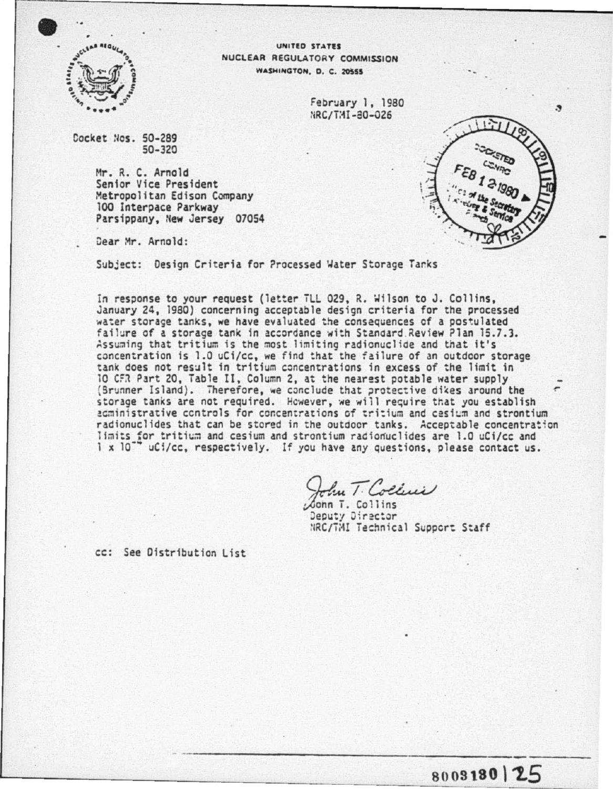

UNITED STATES NUCLEAR REGULATORY COMMISSION WASHINGTON, D. C. 20555

> February 1, 1980 NRC/TMI-80-026

Cocket Nos. 50-289  $50 - 320$ 

> Mr. R. C. Arnold Senior Vice President Metropolitan Edison Company 100 Interpace Parkway Parsippany, New Jersey 07054

Dear Mr. Arnold:

Subject: Design Criteria for Processed Water Storage Tanks

In response to your request (letter TLL 029, R. Wilson to J. Collins. January 24, 1980) concerning acceptable design criteria for the processed water storage tanks, we have evaluated the consequences of a postulated failure of a storage tank in accordance with Standard Review Plan 15.7.3. Assuming that tritium is the most limiting radionuclide and that it's concentration is 1.0 uCi/cc, we find that the failure of an outdoor storage tank does not result in tritium concentrations in excess of the limit in 10 CFR Part 20, Table II, Column 2, at the nearest potable water supply (Brunner Island). Therefore, we conclude that protective dikes around the storage tanks are not required. However, we will require that you establish agministrative controls for concentrations of tritium and casium and strontium radionuclides that can be stored in the outdoor tanks. Acceptable concentration limits for tritium and cesium and strontium radionuclides are 1.0 uCi/cc and  $1 \times 10^{-7}$ " uCi/cc, respectively. If you have any questions, please contact us.

Jun T. Collins

Conn T. Collins Deputy Director NRC/TMI Technical Support Staff

cc: See Distribution List



8003180 | 25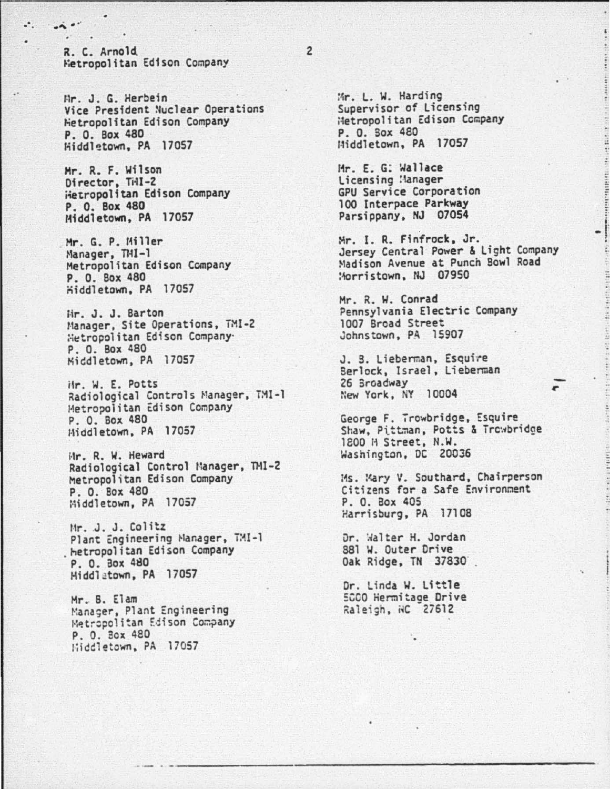R. C. Arnold Hetropolitan Edison Company

 $\bullet$ 

Mr. J. G. Herbein Vice President Nuclear Operations Hetropolitan Edison Company P. O. Box 480 Hiddletown, PA 17057

Mr. R. F. Wilson Director, THI-2 Hetropolitan Edison Company P. O. Box 480 Middletown, PA 17057

Mr. G. P. Miller<br>Manager, THI-1 Metropolitan Edison Company P. O. Box 480 Hiddletown, PA 17057

Hr. J. J. Barton Manager, Site Operations, TMI-2 Hetropolitan Edison Company. P. O. Box 480 Middletown, PA 17057

iir. W. E. Potts Radiological Controls Manager, TMI-1 Metropolitan Edison Company P. O. Box 480 Hiddletown, PA 17057

Hr. R. W. Heward Radiological Control Manager, TMI-2 Metropolitan Edison Company P. O. Box 480 Middletown, PA 17057

Mr. J. J. Colitz Plant Engineering Manager, TMI-1 hetropolitan Edison Company P. O. Box 480 Middletown, PA 17057

Mr. B. Elam Manager, Plant Engineering Metropolitan Edison Company P. O. Box 480 Hiddletown, PA 17057

Mr. L. W. Harding Supervisor of Licensing Hetropolitan Edison Company P. O. Sox 480 Middletown, PA 17057

Mr. E. G: Wallace Licensing Manager **GPU Service Corporation** 100 Interpace Parkway Parsippany, NJ 07054

Mr. I. R. Finfrock, Jr. Jersey Central Power & Light Company Madison Avenue at Punch Bowl Road Morristown, NJ 07950

"朝廷朝以有一条人的以为法律之相(人性之)

Mr. R. W. Conrad Pennsylvania Electric Company 1007 Broad Street Johnstown, PA 15907

J. B. Lieberman, Esquire Berlock, Israel, Lieberman 26 Broadway New York, NY 10004

George F. Trowbridge, Esquire Shaw, Pittman, Potts & Trowbridge 1800 H Street, N.W. Washington, DC 20036

Ms. Mary V. Southard, Chairperson Citizens for a Safe Environment P. O. Box 405 Harrisburg, PA 17108

Dr. Walter H. Jordan 881 W. Outer Drive Oak Ridge, TN 37830

Dr. Linda W. Little 5000 Hermitage Drive Raleigh, NC 27612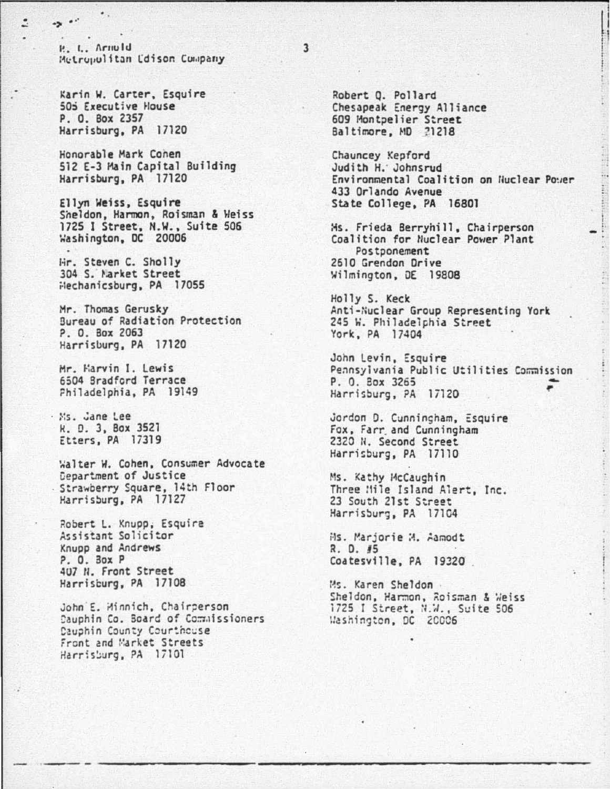P. L. Arnuld Metropolitan Edison Company

Karin W. Carter, Esquire 505 Executive House P. O. Box 2357 Harrisburg, PA 17120

 $-2$ 

Ξ

Honorable Mark Conen 512 E-3 Main Capital Building Harrisburg, PA 17120

Ellyn Weiss, Esquire Sheldon, Harmon, Roisman & Weiss 1725 I Street, N.W., Suite 506 Washington, DC 20006

Hr. Steven C. Sholly 304 S. Market Street Hechanicsburg, PA 17055

Mr. Thomas Gerusky Bureau of Radiation Protection P. O. Box 2063 Harrisburg, PA 17120

Mr. Harvin I. Lewis 6504 Bradford Terrace Philadelphia, PA 19149

Ms. Jane Lee K. D. 3, Box 3521 Etters, PA 17319

Walter W. Cohen, Consumer Advocate Department of Justice Strawberry Square, 14th Floor Harrisburg, PA 17127

Robert L. Knupp, Esquire Assistant Solicitor Knupp and Andrews P. O. 30x P 407 N. Front Street Harrisburg, PA 17108

John E. Minnich, Chairperson Dauphin Co. Board of Commissioners Dauphin County Courthcuse Front and Market Streets Harrisburg, PA 17101

Robert Q. Pollard Chesapeak Energy Alliance 609 Montpelier Street Baltimore, MD 21218

Chauncey Kepford Judith H. Johnsrud Environmental Coalition on Nuclear Power 433 Orlando Avenue State College, PA 16801

Ms. Frieda Berryhill, Chairperson Coalition for Nuclear Power Plant Postponement 2610 Grendon Drive Wilmington, DE 19808

Holly S. Keck Anti-Nuclear Group Representing York 245 W. Philadelphia Street York, PA 17404

John Levin, Esquire Pennsylvania Public Utilities Commission P. O. Box 3265 Harrisburg, PA 17120

Jordon D. Cunningham, Esquire Fox, Farr and Cunningham 2320 N. Second Street Harrisburg, PA 17110

Ms. Kathy McCaughin Three Mile Island Alert, Inc. 23 South 21st Street Harrisburg, PA 17104

Ms. Marjorie M. Aamodt R. D. #5 Coatesville, PA 19320

Ms. Karen Sheldon Sheldon, Harmon, Roisman & Weiss 1725 I Street, N.W., Suite 506 Washington, DC 20006

 $\overline{\mathbf{3}}$